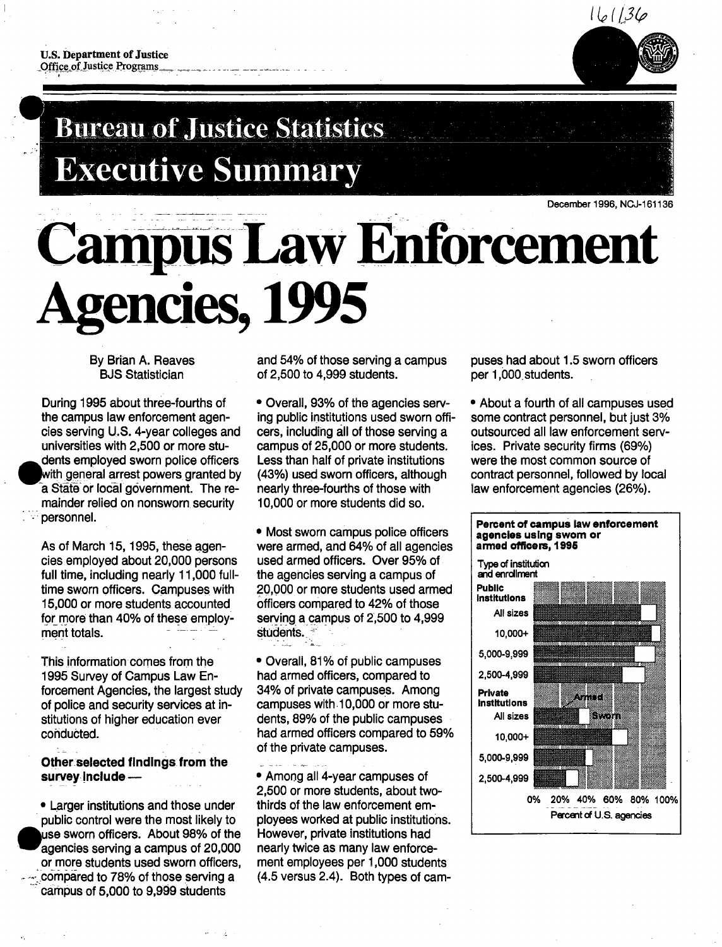

# **Bureau of Justice Statistics Executive Summary**

**Campus Law Enforcement Agencies,, 1995** 

By Brian A. Reaves BJS Statistician

During 1995 about three-fourths of the campus law enforcement agencies serving U.S. 4-year colleges and universities with 2,500 or more stu dents employed sworn police officers with general arrest powers granted by a State or local government. The remainder relied on nonsworn security personnel.

As of March 15, 1995, these agencies employed about 20,000 persons full time, including nearly 11,000 fulltime sworn officers. Campuses with 15,000 or more students accounted for more than 40% of these employment totals.

This information comes from the 1995 Survey of Campus Law Enforcement Agencies, the largest study of police and security services at institutions of higher education ever conducted.

**Other selected findings from the**  survey include -

• Larger institutions and those under public control were the most likely to use sworn officers. About 98% of the agencies serving a campus of 20,000 or more students used sworn officers, compared to 78% of those serving a campus of 5,000 to 9,999 students

and 54% of those serving a campus of 2,500 to 4,999 students.

• Overall, 93% of the agencies serving public institutions used sworn officers, including all of those serving a campus of 25,000 or more students. Less than half of private institutions (43%) used sworn officers, although nearly three-fourths of those with 10,000 or more students did so.

• Most sworn campus police officers were armed, and 64% of all agencies used armed officers. Over 95% of the agencies serving a campus of 20,000 or more students used armed officers compared to 42% of those serving a campus of 2,500 to 4,999 Students. ~ - \_ . -\_

• Overall, 81% of public campuses had armed officers, compared to 34% of private campuses. Among campuses with 10,000 or more students, 89% of the public campuses had armed officers compared to 59% of the private campuses.

• Among all 4-year campuses of 2,500 or more students, about twothirds of the law enforcement employees worked at public institutions. However, private institutions had nearly twice as many law enforcement employees per 1,000 students (4.5 versus 2.4). Both types of campuses had about 1.5 sworn officers per 1,000\_students.

• About a fourth of all campuses used some contract personnel, but just 3% outsourced all law enforcement services. Private security firms (69%) were the most common source of contract personnel, followed by local law enforcement agencies (26%).



December 1996, NCJ-161136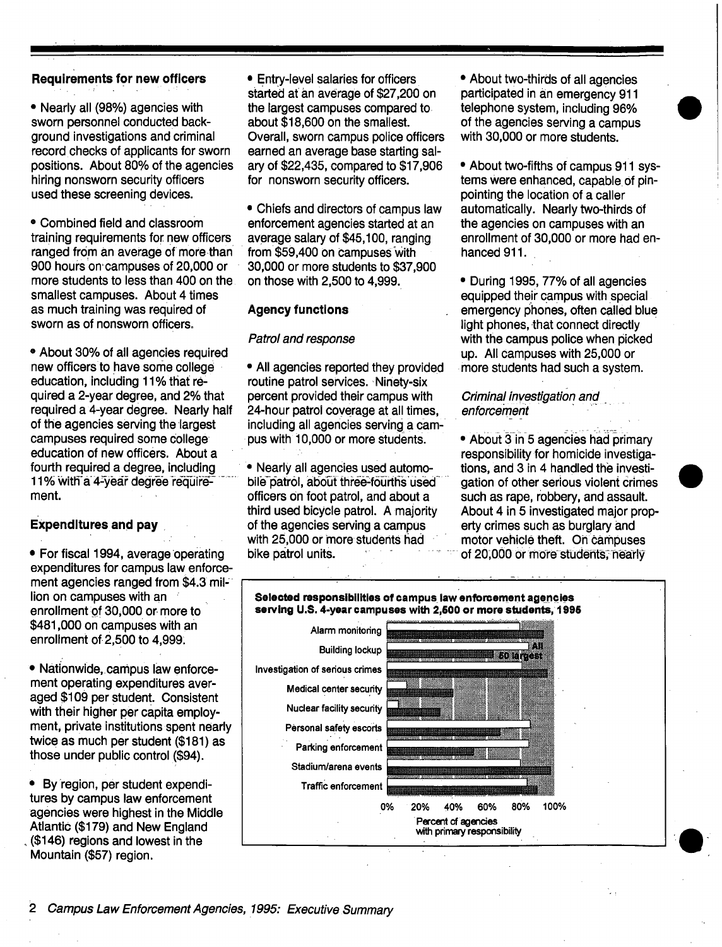# **Requirements for new officers**

• Nearly all (98%) agencies with sworn personnel conducted background investigations and criminal record checks of applicants for sworn positions. About 80% of the agencies hiring nonsworn security officers used these screening devices.

• Combined field and classroom training requirements for new officers ranged from an average of more than 900 hours on campuses of 20,000 or more students to less than 400 on the smallest campuses. About 4 times as much training was required of sworn as of nonsworn officers.

• About 30% of all agencies required new officers to have some college education, including 11% that required a 2-year degree, and 2% that required a 4-year degree. Nearly half of the agencies serving the largest campuses required some college education of new officers. About a fourth required a degree, including 11% with a 4-year degree requirement.

# **Expenditures and pay**

• For fiscal 1994, average operating expenditures for campus law enforcement agencies ranged from \$4.3 million on campuses with an enrollment of 30,000 or more to \$481,000 on campuses with an enrollment of 2,500 to 4,999:

• Nationwide, campus law enforcement operating expenditures averaged \$109 per student. Consistent with their higher per capita employment, private institutions spent nearly twice as much per student (\$181) as those under public control (\$94).

• By'region, per student expenditures by campus law enforcement agencies were highest in the Middle Atlantic (\$179) and New England (\$146) regions and lowest in the Mountain (\$57) region.

**=** Entry-level salaries for officers started at an average of \$27,200 on the largest campuses compared to about \$18,600 on the smallest. Overall, sworn campus police officers earned an average base starting salary of \$22,435, compared to \$17,906 for nonsworn security officers.

• Chiefs and directors of campus law enforcement agencies started at an • average salary of \$45,100, ranging from \$59,400 on campuses with 30;000 or more students to \$37,900 on those with 2,500 to 4,999.

# **Agency functions**

## *Patrol and response*

• All agencies reported they provided routine patrol services. Ninety-six percent provided their campus with 24-hour patrol coyerage at all times, including all agencies serving a campus with 10,000 or more students.

• Nearly all agencies used automobile-patrol, about three-fourths used officers on foot patrol, and about a third used bicycle patrol. A majority of the agencies serving a campus with 25,000 or more students had bike patrol units.

 $-$ 

• About two-thirds of all agencies participated in an emergency 911 telephone system, including 96% of the agencies serving a campus with 30,000 or more students.

• About two-fifths of campus 911 systems were enhanced, capable of pinpointing the location of a caller automatically. Nearly two-thirds Of the agencies on campuses with an enrollment of 30,000 or more had enhanced 911.

• During 1995, 77% of all agencies equipped their campus with special emergency phones, often called blue light phones, that connect directly with the campus police when picked up. All campuses with 25,000 or more students had such a system.

# *Criminal investigation and enforcement*

• About 3 in 5 agencies had primary responsibility for homicide investigations, and 3 in 4 handled the investigation of other serious violent Crimes such as rape, robbery, and assault. About 4 in 5 investigated major property crimes such as burglary and motor vehicle theft. On campuses of 20,000 or more students, nearly

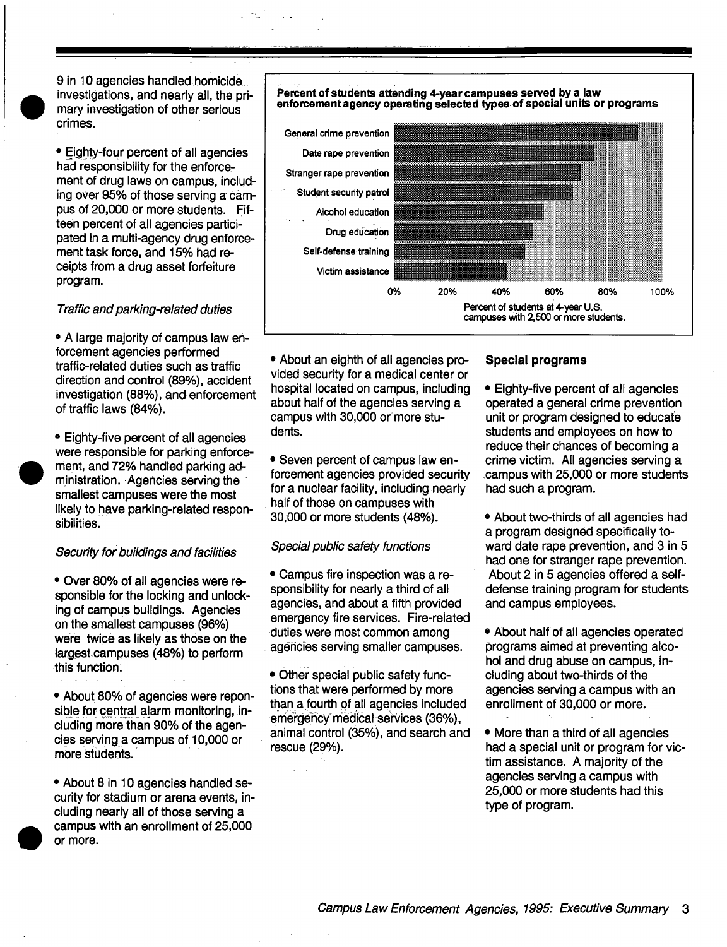9 in 10 agencies handled homicide\_ investigations, and nearly all, the primary investigation of other serious crimes.

• Eighty-four percent of all agencies had responsibility for the enforcement of drug laws on campus, including over 95% of those serving a campus of 20,000 or more students. Fifteen percent of all agencies participated in a multi-agency drug enforcement task force, and 15% had receipts from a drug asset forfeiture program.

#### *Traffic and parking-related duties*

• A large majority of campus law enforcement agencies performed traffic-related duties such as traffic direction and control (89%), accident investigation (88%), and enforcement of traffic laws (84%).

• Eighty-five percent of all agencies were responsible for parking enforcement, and 72% handled parking administration. Agencies serving the smallest campuses were the most likely to have parking-related responsibilities.

## *Security for buildings and facilities*

• Over 80% of all agencies were responsible for the locking and unlocking of campus buildings. Agencies on the smallest campuses (96%) were twice as likely as those on the largest campuses (48%) to perform this function:

• About 80% of agencies were reponsible for central alarm monitoring, including more than 90% of the agencies serving a campus of 10,000 or more students.

• About 8 in 10 agencies handled security for stadium or arena events, including nearly all of those serving a campus with an enrollment of 25,000 or more.

#### Percent of students attending 4-year campuses served by a law enforcement agency operating selected types of special units or programs



• About an eighth of all agencies provided security for a medical center or hospital located on campus, including about half of the agencies serving a campus with 30,000 or more students.

• Seven percent of campus law enforcement agencies provided security for a nuclear facility, including nearly half of those on campuses with 30,000 or more students (48%).

#### *Special public safety functions*

• Campus fire inspection was a responsibility for nearly a third of all agencies, and about a fifth provided emergency fire services. Fire-related duties were most common among • agencies Serving smaller campuses.

• Other special public safety functions that were performed by more than a fourth 0f all agencies included emergency medical services (36%), animal control (35%), and search and rescue (29%).

# **Special programs**

- Eighty-five percent of all agencies operated a general crime prevention unit or program designed to educate students and employees on how to reduce their chances of becoming a crime victim. All agencies serving a campus with 25,000 or more students had such a program.
- About two-thirds of all agencies had a program designed specifically toward date rape prevention, and 3 in 5 had one for stranger rape prevention. About 2 in 5 agencies offered a selfdefense training program for students and campus employees.
- About half of all agencies operated programs aimed at preventing alcohol and drug abuse on campus, including about two-thirds of the agencies serving a campus with an enrollment of 30,000 or more.

• More than a third of all agencies had a special unit or program for victim assistance. A majority of the agencies serving a campus with 25,000 or more students had this type of program.